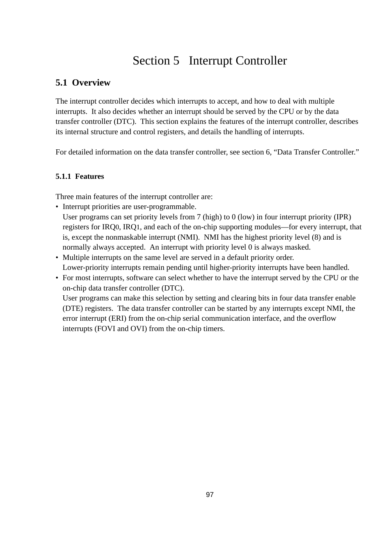# Section 5 Interrupt Controller

# **5.1 Overview**

The interrupt controller decides which interrupts to accept, and how to deal with multiple interrupts. It also decides whether an interrupt should be served by the CPU or by the data transfer controller (DTC). This section explains the features of the interrupt controller, describes its internal structure and control registers, and details the handling of interrupts.

For detailed information on the data transfer controller, see section 6, "Data Transfer Controller."

# **5.1.1 Features**

Three main features of the interrupt controller are:

• Interrupt priorities are user-programmable.

User programs can set priority levels from 7 (high) to 0 (low) in four interrupt priority (IPR) registers for IRQ0, IRQ1, and each of the on-chip supporting modules—for every interrupt, that is, except the nonmaskable interrupt (NMI). NMI has the highest priority level (8) and is normally always accepted. An interrupt with priority level 0 is always masked.

- Multiple interrupts on the same level are served in a default priority order. Lower-priority interrupts remain pending until higher-priority interrupts have been handled.
- For most interrupts, software can select whether to have the interrupt served by the CPU or the on-chip data transfer controller (DTC).

User programs can make this selection by setting and clearing bits in four data transfer enable (DTE) registers. The data transfer controller can be started by any interrupts except NMI, the error interrupt (ERI) from the on-chip serial communication interface, and the overflow interrupts (FOVI and OVI) from the on-chip timers.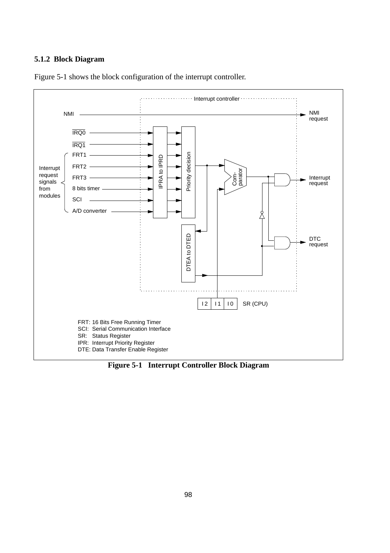#### **5.1.2 Block Diagram**



Figure 5-1 shows the block configuration of the interrupt controller.

**Figure 5-1 Interrupt Controller Block Diagram**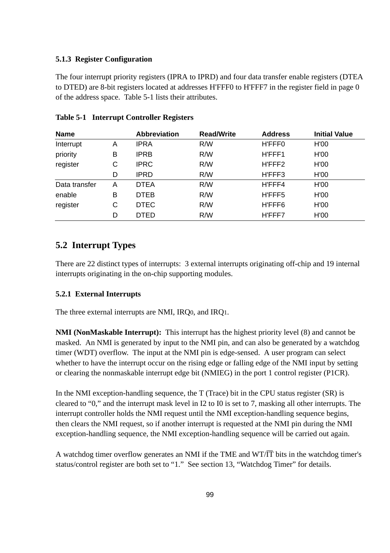#### **5.1.3 Register Configuration**

The four interrupt priority registers (IPRA to IPRD) and four data transfer enable registers (DTEA to DTED) are 8-bit registers located at addresses H'FFF0 to H'FFF7 in the register field in page 0 of the address space. Table 5-1 lists their attributes.

| <b>Name</b>   |   | <b>Abbreviation</b> | <b>Read/Write</b> | <b>Address</b> | <b>Initial Value</b> |
|---------------|---|---------------------|-------------------|----------------|----------------------|
| Interrupt     | Α | <b>IPRA</b>         | R/W               | H'FFF0         | H'00                 |
| priority      | В | <b>IPRB</b>         | R/W               | H'FFF1         | H'00                 |
| register      | C | <b>IPRC</b>         | R/W               | H'FFF2         | H'00                 |
|               | D | IPRD                | R/W               | H'FFF3         | H'00                 |
| Data transfer | Α | <b>DTEA</b>         | R/W               | H'FFF4         | H'00                 |
| enable        | в | <b>DTEB</b>         | R/W               | H'FFF5         | H'00                 |
| register      | С | <b>DTEC</b>         | R/W               | H'FFF6         | H'00                 |
|               | D | <b>DTED</b>         | R/W               | H'FFF7         | H'00                 |

#### **Table 5-1 Interrupt Controller Registers**

# **5.2 Interrupt Types**

There are 22 distinct types of interrupts: 3 external interrupts originating off-chip and 19 internal interrupts originating in the on-chip supporting modules.

#### **5.2.1 External Interrupts**

The three external interrupts are NMI, IRQ0, and IRQ1.

**NMI (NonMaskable Interrupt):** This interrupt has the highest priority level (8) and cannot be masked. An NMI is generated by input to the NMI pin, and can also be generated by a watchdog timer (WDT) overflow. The input at the NMI pin is edge-sensed. A user program can select whether to have the interrupt occur on the rising edge or falling edge of the NMI input by setting or clearing the nonmaskable interrupt edge bit (NMIEG) in the port 1 control register (P1CR).

In the NMI exception-handling sequence, the T (Trace) bit in the CPU status register (SR) is cleared to "0," and the interrupt mask level in I2 to I0 is set to 7, masking all other interrupts. The interrupt controller holds the NMI request until the NMI exception-handling sequence begins, then clears the NMI request, so if another interrupt is requested at the NMI pin during the NMI exception-handling sequence, the NMI exception-handling sequence will be carried out again.

A watchdog timer overflow generates an NMI if the TME and  $WT/TT$  bits in the watchdog timer's status/control register are both set to "1." See section 13, "Watchdog Timer" for details.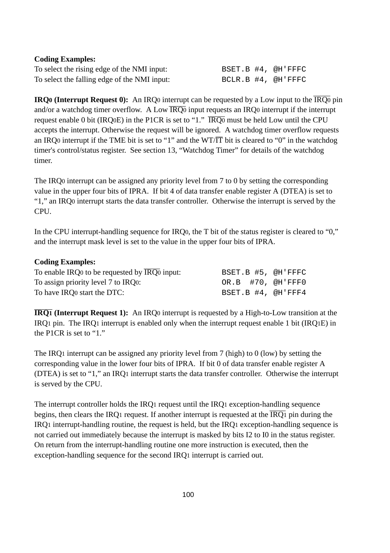#### **Coding Examples:**

To select the rising edge of the NMI input: BSET.B #4, @H'FFFC To select the falling edge of the NMI input:  $BCLR.B. #4, \text{ QH'FFFC}$ 

**IRQ0** (Interrupt Request 0): An IRQ0 interrupt can be requested by a Low input to the  $\overline{IRQ0}$  pin and/or a watchdog timer overflow. A Low  $\overline{RQ0}$  input requests an  $RQ0$  interrupt if the interrupt request enable 0 bit (IRQ0E) in the P1CR is set to "1."  $\overline{\text{IRQ0}}$  must be held Low until the CPU accepts the interrupt. Otherwise the request will be ignored. A watchdog timer overflow requests an IRQ0 interrupt if the TME bit is set to "1" and the WT/ $\overline{IT}$  bit is cleared to "0" in the watchdog timer's control/status register. See section 13, "Watchdog Timer" for details of the watchdog timer.

The IRQ0 interrupt can be assigned any priority level from 7 to 0 by setting the corresponding value in the upper four bits of IPRA. If bit 4 of data transfer enable register A (DTEA) is set to "1," an IRQ0 interrupt starts the data transfer controller. Otherwise the interrupt is served by the CPU.

In the CPU interrupt-handling sequence for IRQ0, the T bit of the status register is cleared to "0," and the interrupt mask level is set to the value in the upper four bits of IPRA.

#### **Coding Examples:**

| To enable IRQ0 to be requested by IRQ0 input: |  | BSET.B #5, @H'FFFC  |
|-----------------------------------------------|--|---------------------|
| To assign priority level 7 to IRQ0:           |  | OR.B $#70, @H'FFF0$ |
| To have IRO start the DTC:                    |  | BSET.B #4, @H'FFF4  |

**IRQ1 (Interrupt Request 1):** An IRQ0 interrupt is requested by a High-to-Low transition at the IRQ1 pin. The IRQ1 interrupt is enabled only when the interrupt request enable 1 bit (IRQ1E) in the P1CR is set to "1."

The IRQ1 interrupt can be assigned any priority level from 7 (high) to 0 (low) by setting the corresponding value in the lower four bits of IPRA. If bit 0 of data transfer enable register A (DTEA) is set to "1," an IRQ1 interrupt starts the data transfer controller. Otherwise the interrupt is served by the CPU.

The interrupt controller holds the IRQ1 request until the IRQ1 exception-handling sequence begins, then clears the IRQ1 request. If another interrupt is requested at the  $\overline{IRQ1}$  pin during the IRQ1 interrupt-handling routine, the request is held, but the IRQ1 exception-handling sequence is not carried out immediately because the interrupt is masked by bits I2 to I0 in the status register. On return from the interrupt-handling routine one more instruction is executed, then the exception-handling sequence for the second IRQ1 interrupt is carried out.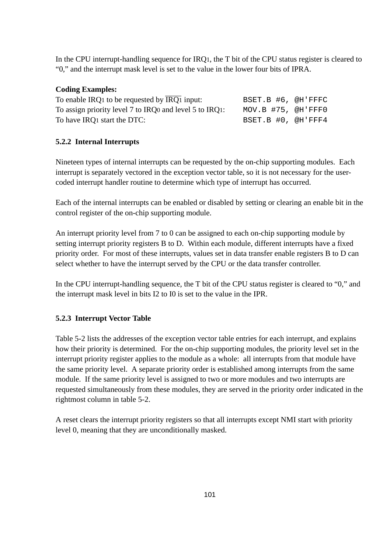In the CPU interrupt-handling sequence for IRQ1, the T bit of the CPU status register is cleared to "0," and the interrupt mask level is set to the value in the lower four bits of IPRA.

#### **Coding Examples:**

| To enable IRQ1 to be requested by $\overline{IRQ1}$ input: | BSET.B #6, @H'FFFC |  |
|------------------------------------------------------------|--------------------|--|
| To assign priority level 7 to IRQ0 and level 5 to IRQ1:    | MOV.B #75, @H'FFF0 |  |
| To have IRO1 start the DTC:                                | BSET.B #0, @H'FFF4 |  |

### **5.2.2 Internal Interrupts**

Nineteen types of internal interrupts can be requested by the on-chip supporting modules. Each interrupt is separately vectored in the exception vector table, so it is not necessary for the usercoded interrupt handler routine to determine which type of interrupt has occurred.

Each of the internal interrupts can be enabled or disabled by setting or clearing an enable bit in the control register of the on-chip supporting module.

An interrupt priority level from 7 to 0 can be assigned to each on-chip supporting module by setting interrupt priority registers B to D. Within each module, different interrupts have a fixed priority order. For most of these interrupts, values set in data transfer enable registers B to D can select whether to have the interrupt served by the CPU or the data transfer controller.

In the CPU interrupt-handling sequence, the T bit of the CPU status register is cleared to "0," and the interrupt mask level in bits I2 to I0 is set to the value in the IPR.

### **5.2.3 Interrupt Vector Table**

Table 5-2 lists the addresses of the exception vector table entries for each interrupt, and explains how their priority is determined. For the on-chip supporting modules, the priority level set in the interrupt priority register applies to the module as a whole: all interrupts from that module have the same priority level. A separate priority order is established among interrupts from the same module. If the same priority level is assigned to two or more modules and two interrupts are requested simultaneously from these modules, they are served in the priority order indicated in the rightmost column in table 5-2.

A reset clears the interrupt priority registers so that all interrupts except NMI start with priority level 0, meaning that they are unconditionally masked.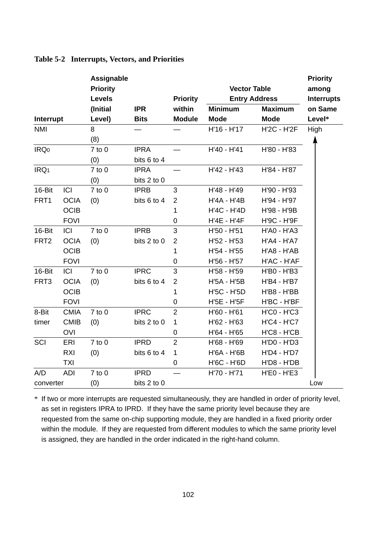|                  |             | Assignable<br><b>Priority</b><br>Levels |             | <b>Priority</b>  | <b>Vector Table</b> | <b>Entry Address</b> | <b>Priority</b><br>among<br><b>Interrupts</b> |
|------------------|-------------|-----------------------------------------|-------------|------------------|---------------------|----------------------|-----------------------------------------------|
|                  |             | (Initial                                | <b>IPR</b>  | within           | <b>Minimum</b>      | <b>Maximum</b>       | on Same                                       |
| Interrupt        |             | Level)                                  | <b>Bits</b> | <b>Module</b>    | <b>Mode</b>         | <b>Mode</b>          | Level*                                        |
| <b>NMI</b>       |             | 8                                       |             |                  | H'16 - H'17         | <b>H'2C - H'2F</b>   | High                                          |
|                  |             | (8)                                     |             |                  |                     |                      |                                               |
| IRQ <sub>0</sub> |             | $7$ to $0$                              | <b>IPRA</b> |                  | H'40 - H'41         | H'80 - H'83          |                                               |
|                  |             | (0)                                     | bits 6 to 4 |                  |                     |                      |                                               |
| IRQ <sub>1</sub> |             | $7$ to $0$                              | <b>IPRA</b> |                  | H'42 - H'43         | H'84 - H'87          |                                               |
|                  |             | (0)                                     | bits 2 to 0 |                  |                     |                      |                                               |
| 16-Bit           | ICI         | $7$ to $0$                              | <b>IPRB</b> | 3                | H'48 - H'49         | H'90 - H'93          |                                               |
| FRT1             | <b>OCIA</b> | (0)                                     | bits 6 to 4 | $\overline{c}$   | H'4A - H'4B         | H'94 - H'97          |                                               |
|                  | <b>OCIB</b> |                                         |             | 1                | H'4C - H'4D         | H'98 - H'9B          |                                               |
|                  | <b>FOVI</b> |                                         |             | 0                | H'4E - H'4F         | H'9C - H'9F          |                                               |
| 16-Bit           | ICI         | $7$ to $0$                              | <b>IPRB</b> | 3                | H'50 - H'51         | H'A0 - H'A3          |                                               |
| FRT <sub>2</sub> | <b>OCIA</b> | (0)                                     | bits 2 to 0 | $\overline{c}$   | H'52 - H'53         | <b>H'A4 - H'A7</b>   |                                               |
|                  | <b>OCIB</b> |                                         |             | 1                | H'54 - H'55         | H'A8 - H'AB          |                                               |
|                  | <b>FOVI</b> |                                         |             | 0                | H'56 - H'57         | H'AC - H'AF          |                                               |
| 16-Bit           | ICI         | $7$ to $0$                              | <b>IPRC</b> | 3                | H'58 - H'59         | H'B0 - H'B3          |                                               |
| FRT <sub>3</sub> | <b>OCIA</b> | (0)                                     | bits 6 to 4 | $\boldsymbol{2}$ | H'5A - H'5B         | H'B4 - H'B7          |                                               |
|                  | <b>OCIB</b> |                                         |             | 1                | H'5C - H'5D         | H'B8 - H'BB          |                                               |
|                  | <b>FOVI</b> |                                         |             | 0                | H'5E - H'5F         | H'BC - H'BF          |                                               |
| 8-Bit            | <b>CMIA</b> | $7$ to $0$                              | <b>IPRC</b> | $\overline{2}$   | H'60 - H'61         | <b>H'CO - H'C3</b>   |                                               |
| timer            | <b>CMIB</b> | (0)                                     | bits 2 to 0 | 1                | H'62 - H'63         | <b>H'C4 - H'C7</b>   |                                               |
|                  | <b>OVI</b>  |                                         |             | $\mathbf 0$      | H'64 - H'65         | $H'CB - H'CB$        |                                               |
| SCI              | ERI         | $7$ to $0$                              | <b>IPRD</b> | $\overline{c}$   | H'68 - H'69         | H'D0 - H'D3          |                                               |
|                  | RXI         | (0)                                     | bits 6 to 4 | 1                | H'6A - H'6B         | H'D4 - H'D7          |                                               |
|                  | <b>TXI</b>  |                                         |             | 0                | H'6C - H'6D         | H'D8 - H'DB          |                                               |
| A/D              | <b>ADI</b>  | $7$ to $0$                              | <b>IPRD</b> |                  | H'70 - H'71         | <b>H'EO - H'E3</b>   |                                               |
| converter        |             | (0)                                     | bits 2 to 0 |                  |                     |                      | Low                                           |

#### **Table 5-2 Interrupts, Vectors, and Priorities**

\* If two or more interrupts are requested simultaneously, they are handled in order of priority level, as set in registers IPRA to IPRD. If they have the same priority level because they are requested from the same on-chip supporting module, they are handled in a fixed priority order within the module. If they are requested from different modules to which the same priority level is assigned, they are handled in the order indicated in the right-hand column.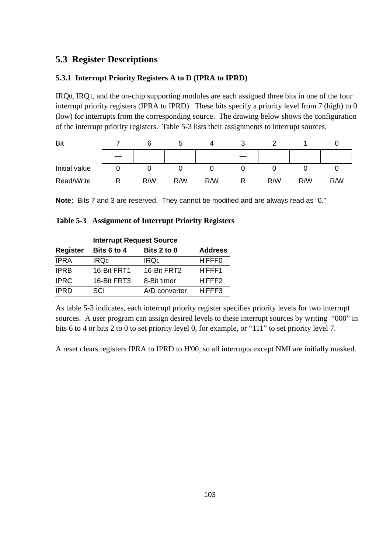# **5.3 Register Descriptions**

### **5.3.1 Interrupt Priority Registers A to D (IPRA to IPRD)**

IRQ0, IRQ1, and the on-chip supporting modules are each assigned three bits in one of the four interrupt priority registers (IPRA to IPRD). These bits specify a priority level from 7 (high) to 0 (low) for interrupts from the corresponding source. The drawing below shows the configuration of the interrupt priority registers. Table 5-3 lists their assignments to interrupt sources.



**Note:** Bits 7 and 3 are reserved. They cannot be modified and are always read as "0."

|  | Table 5-3 Assignment of Interrupt Priority Registers |  |
|--|------------------------------------------------------|--|
|--|------------------------------------------------------|--|

|                 | <b>Interrupt Request Source</b> |                  |                |
|-----------------|---------------------------------|------------------|----------------|
| <b>Register</b> | Bits 6 to 4                     | Bits 2 to 0      | <b>Address</b> |
| <b>IPRA</b>     | $\overline{\text{IRQ}}_0$       | IRQ <sub>1</sub> | H'FFF0         |
| <b>IPRB</b>     | 16-Bit FRT1                     | 16-Bit FRT2      | H'FFF1         |
| <b>IPRC</b>     | 16-Bit FRT3                     | 8-Bit timer      | H'FFF2         |
| <b>IPRD</b>     | SCI                             | A/D converter    | H'FFF3         |

As table 5-3 indicates, each interrupt priority register specifies priority levels for two interrupt sources. A user program can assign desired levels to these interrupt sources by writing "000" in bits 6 to 4 or bits 2 to 0 to set priority level 0, for example, or "111" to set priority level 7.

A reset clears registers IPRA to IPRD to H'00, so all interrupts except NMI are initially masked.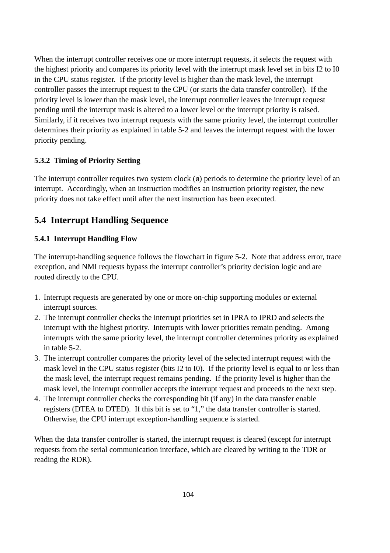When the interrupt controller receives one or more interrupt requests, it selects the request with the highest priority and compares its priority level with the interrupt mask level set in bits I2 to I0 in the CPU status register. If the priority level is higher than the mask level, the interrupt controller passes the interrupt request to the CPU (or starts the data transfer controller). If the priority level is lower than the mask level, the interrupt controller leaves the interrupt request pending until the interrupt mask is altered to a lower level or the interrupt priority is raised. Similarly, if it receives two interrupt requests with the same priority level, the interrupt controller determines their priority as explained in table 5-2 and leaves the interrupt request with the lower priority pending.

## **5.3.2 Timing of Priority Setting**

The interrupt controller requires two system clock  $(\phi)$  periods to determine the priority level of an interrupt. Accordingly, when an instruction modifies an instruction priority register, the new priority does not take effect until after the next instruction has been executed.

# **5.4 Interrupt Handling Sequence**

## **5.4.1 Interrupt Handling Flow**

The interrupt-handling sequence follows the flowchart in figure 5-2. Note that address error, trace exception, and NMI requests bypass the interrupt controller's priority decision logic and are routed directly to the CPU.

- 1. Interrupt requests are generated by one or more on-chip supporting modules or external interrupt sources.
- 2. The interrupt controller checks the interrupt priorities set in IPRA to IPRD and selects the interrupt with the highest priority. Interrupts with lower priorities remain pending. Among interrupts with the same priority level, the interrupt controller determines priority as explained in table 5-2.
- 3. The interrupt controller compares the priority level of the selected interrupt request with the mask level in the CPU status register (bits I2 to I0). If the priority level is equal to or less than the mask level, the interrupt request remains pending. If the priority level is higher than the mask level, the interrupt controller accepts the interrupt request and proceeds to the next step.
- 4. The interrupt controller checks the corresponding bit (if any) in the data transfer enable registers (DTEA to DTED). If this bit is set to "1," the data transfer controller is started. Otherwise, the CPU interrupt exception-handling sequence is started.

When the data transfer controller is started, the interrupt request is cleared (except for interrupt requests from the serial communication interface, which are cleared by writing to the TDR or reading the RDR).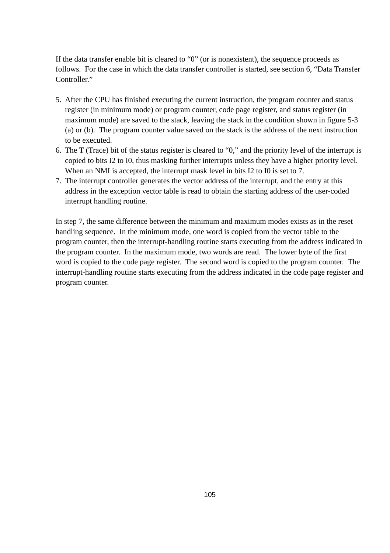If the data transfer enable bit is cleared to "0" (or is nonexistent), the sequence proceeds as follows. For the case in which the data transfer controller is started, see section 6, "Data Transfer Controller."

- 5. After the CPU has finished executing the current instruction, the program counter and status register (in minimum mode) or program counter, code page register, and status register (in maximum mode) are saved to the stack, leaving the stack in the condition shown in figure 5-3 (a) or (b). The program counter value saved on the stack is the address of the next instruction to be executed.
- 6. The T (Trace) bit of the status register is cleared to "0," and the priority level of the interrupt is copied to bits I2 to I0, thus masking further interrupts unless they have a higher priority level. When an NMI is accepted, the interrupt mask level in bits I2 to I0 is set to 7.
- 7. The interrupt controller generates the vector address of the interrupt, and the entry at this address in the exception vector table is read to obtain the starting address of the user-coded interrupt handling routine.

In step 7, the same difference between the minimum and maximum modes exists as in the reset handling sequence. In the minimum mode, one word is copied from the vector table to the program counter, then the interrupt-handling routine starts executing from the address indicated in the program counter. In the maximum mode, two words are read. The lower byte of the first word is copied to the code page register. The second word is copied to the program counter. The interrupt-handling routine starts executing from the address indicated in the code page register and program counter.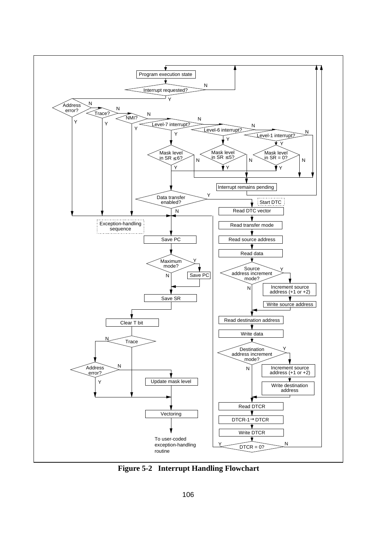

**Figure 5-2 Interrupt Handling Flowchart**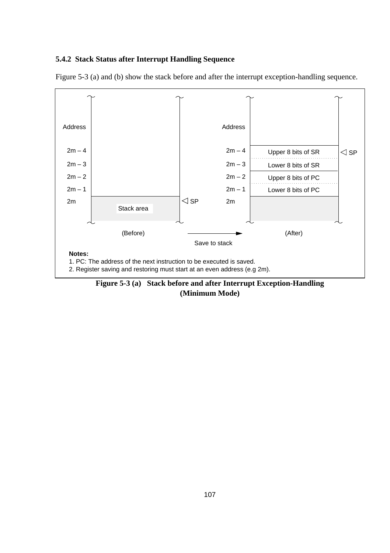#### **5.4.2 Stack Status after Interrupt Handling Sequence**





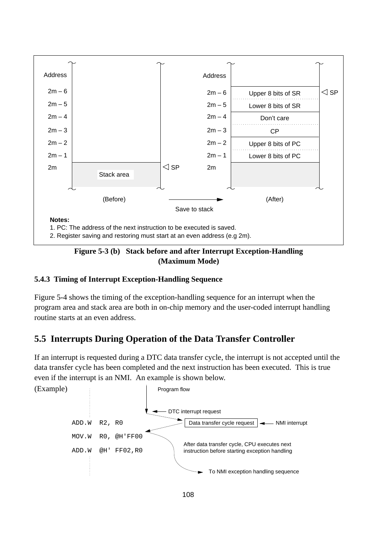

### **Figure 5-3 (b) Stack before and after Interrupt Exception-Handling (Maximum Mode)**

# **5.4.3 Timing of Interrupt Exception-Handling Sequence**

Figure 5-4 shows the timing of the exception-handling sequence for an interrupt when the program area and stack area are both in on-chip memory and the user-coded interrupt handling routine starts at an even address.

# **5.5 Interrupts During Operation of the Data Transfer Controller**

If an interrupt is requested during a DTC data transfer cycle, the interrupt is not accepted until the data transfer cycle has been completed and the next instruction has been executed. This is true even if the interrupt is an NMI. An example is shown below.

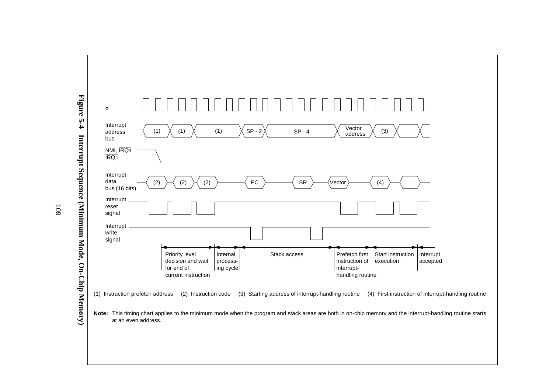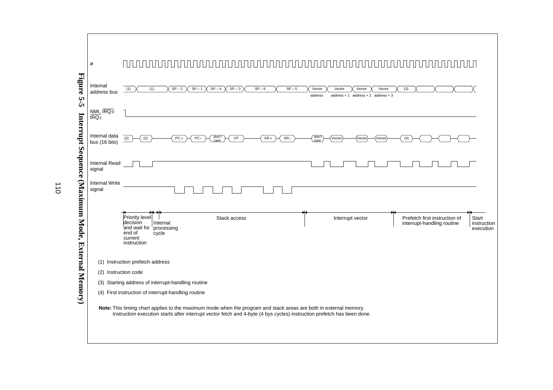